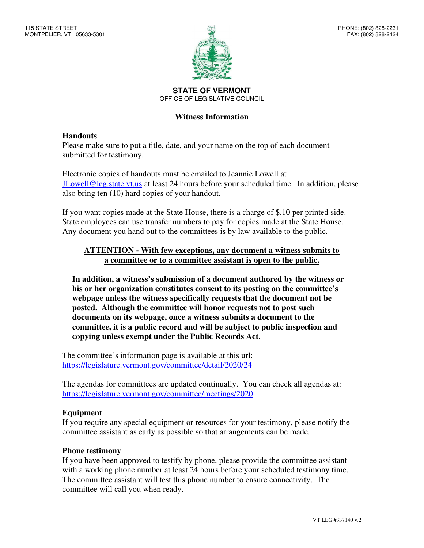

**STATE OF VERMONT**  OFFICE OF LEGISLATIVE COUNCIL

## **Witness Information**

## **Handouts**

Please make sure to put a title, date, and your name on the top of each document submitted for testimony.

Electronic copies of handouts must be emailed to Jeannie Lowell at JLowell@leg.state.vt.us at least 24 hours before your scheduled time. In addition, please also bring ten (10) hard copies of your handout.

If you want copies made at the State House, there is a charge of \$.10 per printed side. State employees can use transfer numbers to pay for copies made at the State House. Any document you hand out to the committees is by law available to the public.

## **ATTENTION - With few exceptions, any document a witness submits to a committee or to a committee assistant is open to the public.**

**In addition, a witness's submission of a document authored by the witness or his or her organization constitutes consent to its posting on the committee's webpage unless the witness specifically requests that the document not be posted. Although the committee will honor requests not to post such documents on its webpage, once a witness submits a document to the committee, it is a public record and will be subject to public inspection and copying unless exempt under the Public Records Act.** 

The committee's information page is available at this url: https://legislature.vermont.gov/committee/detail/2020/24

The agendas for committees are updated continually. You can check all agendas at: https://legislature.vermont.gov/committee/meetings/2020

#### **Equipment**

If you require any special equipment or resources for your testimony, please notify the committee assistant as early as possible so that arrangements can be made.

#### **Phone testimony**

If you have been approved to testify by phone, please provide the committee assistant with a working phone number at least 24 hours before your scheduled testimony time. The committee assistant will test this phone number to ensure connectivity. The committee will call you when ready.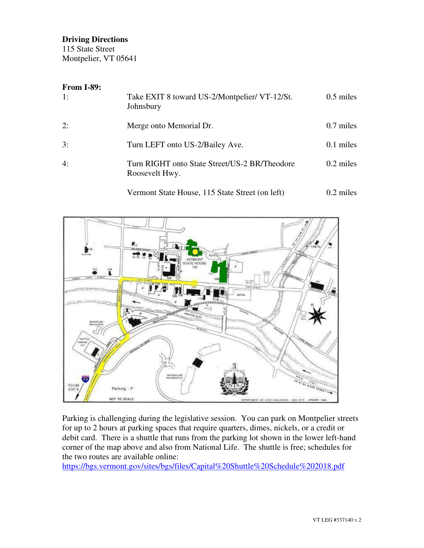## **Driving Directions**

115 State Street Montpelier, VT 05641

## **From I-89:**

| 1: | Take EXIT 8 toward US-2/Montpelier/ VT-12/St.<br>Johnsbury      | $0.5$ miles |
|----|-----------------------------------------------------------------|-------------|
| 2: | Merge onto Memorial Dr.                                         | $0.7$ miles |
| 3: | Turn LEFT onto US-2/Bailey Ave.                                 | $0.1$ miles |
| 4: | Turn RIGHT onto State Street/US-2 BR/Theodore<br>Roosevelt Hwy. | $0.2$ miles |

Vermont State House, 115 State Street (on left) 0.2 miles



Parking is challenging during the legislative session. You can park on Montpelier streets for up to 2 hours at parking spaces that require quarters, dimes, nickels, or a credit or debit card. There is a shuttle that runs from the parking lot shown in the lower left-hand corner of the map above and also from National Life. The shuttle is free; schedules for the two routes are available online:

https://bgs.vermont.gov/sites/bgs/files/Capital%20Shuttle%20Schedule%202018.pdf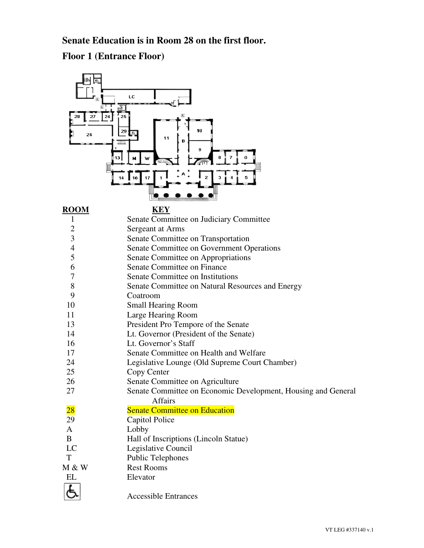# **Senate Education is in Room 28 on the first floor.**

**Floor 1 (Entrance Floor)**

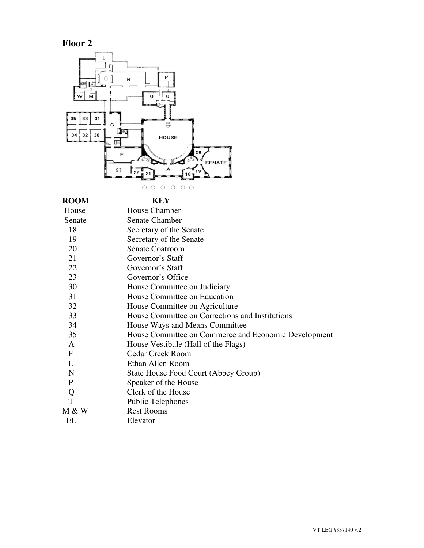**Floor 2** 



**KEY** 

| House       | House Chamber                                        |
|-------------|------------------------------------------------------|
| Senate      | <b>Senate Chamber</b>                                |
| 18          | Secretary of the Senate                              |
| 19          | Secretary of the Senate                              |
| 20          | <b>Senate Coatroom</b>                               |
| 21          | Governor's Staff                                     |
| 22          | Governor's Staff                                     |
| 23          | Governor's Office                                    |
| 30          | House Committee on Judiciary                         |
| 31          | House Committee on Education                         |
| 32          | House Committee on Agriculture                       |
| 33          | House Committee on Corrections and Institutions      |
| 34          | House Ways and Means Committee                       |
| 35          | House Committee on Commerce and Economic Development |
| A           | House Vestibule (Hall of the Flags)                  |
| $\mathbf F$ | <b>Cedar Creek Room</b>                              |
| L           | Ethan Allen Room                                     |
| N           | State House Food Court (Abbey Group)                 |
| P           | Speaker of the House                                 |
| Q           | Clerk of the House                                   |
| T           | <b>Public Telephones</b>                             |
| M & W       | <b>Rest Rooms</b>                                    |
| EL          | Elevator                                             |